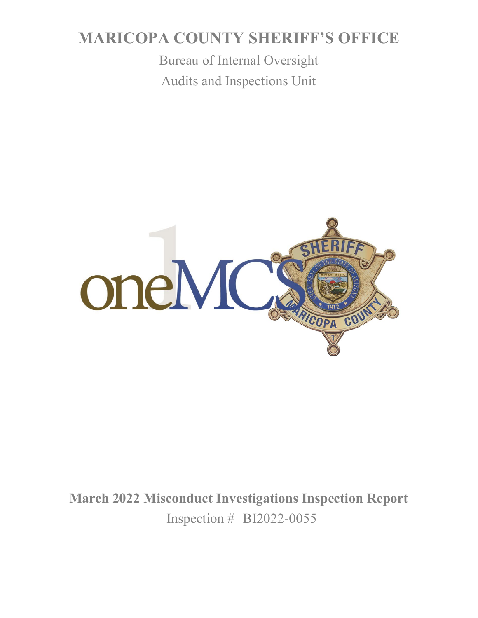# **MARICOPA COUNTY SHERIFF'S OFFICE**

Bureau of Internal Oversight Audits and Inspections Unit



**March 2022 Misconduct Investigations Inspection Report** Inspection # BI2022-0055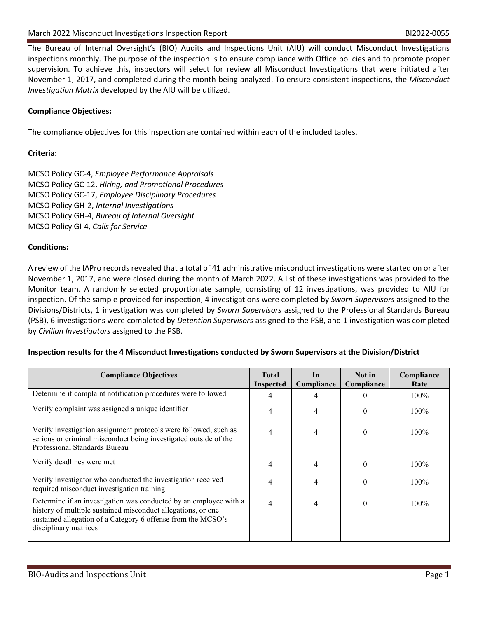The Bureau of Internal Oversight's (BIO) Audits and Inspections Unit (AIU) will conduct Misconduct Investigations inspections monthly. The purpose of the inspection is to ensure compliance with Office policies and to promote proper supervision. To achieve this, inspectors will select for review all Misconduct Investigations that were initiated after November 1, 2017, and completed during the month being analyzed. To ensure consistent inspections, the *Misconduct Investigation Matrix* developed by the AIU will be utilized.

## **Compliance Objectives:**

The compliance objectives for this inspection are contained within each of the included tables.

## **Criteria:**

MCSO Policy GC-4, *Employee Performance Appraisals* MCSO Policy GC-12, *Hiring, and Promotional Procedures* MCSO Policy GC-17, *Employee Disciplinary Procedures* MCSO Policy GH-2, *Internal Investigations* MCSO Policy GH-4, *Bureau of Internal Oversight* MCSO Policy GI-4, *Calls for Service*

#### **Conditions:**

A review of the IAPro records revealed that a total of 41 administrative misconduct investigations were started on or after November 1, 2017, and were closed during the month of March 2022. A list of these investigations was provided to the Monitor team. A randomly selected proportionate sample, consisting of 12 investigations, was provided to AIU for inspection. Of the sample provided for inspection, 4 investigations were completed by *Sworn Supervisors* assigned to the Divisions/Districts, 1 investigation was completed by *Sworn Supervisors* assigned to the Professional Standards Bureau (PSB), 6 investigations were completed by *Detention Supervisors* assigned to the PSB, and 1 investigation was completed by *Civilian Investigators* assigned to the PSB.

#### **Inspection results for the 4 Misconduct Investigations conducted by Sworn Supervisors at the Division/District**

| <b>Compliance Objectives</b>                                                                                                                                                                                               | <b>Total</b><br><b>Inspected</b> | In<br>Compliance | Not in<br>Compliance | Compliance<br>Rate |
|----------------------------------------------------------------------------------------------------------------------------------------------------------------------------------------------------------------------------|----------------------------------|------------------|----------------------|--------------------|
| Determine if complaint notification procedures were followed                                                                                                                                                               | 4                                |                  |                      | $100\%$            |
| Verify complaint was assigned a unique identifier                                                                                                                                                                          | 4                                | 4                | $\Omega$             | $100\%$            |
| Verify investigation assignment protocols were followed, such as<br>serious or criminal misconduct being investigated outside of the<br>Professional Standards Bureau                                                      | 4                                | 4                | $\Omega$             | $100\%$            |
| Verify deadlines were met                                                                                                                                                                                                  | $\overline{4}$                   | 4                | $\Omega$             | $100\%$            |
| Verify investigator who conducted the investigation received<br>required misconduct investigation training                                                                                                                 | 4                                | 4                | $\Omega$             | $100\%$            |
| Determine if an investigation was conducted by an employee with a<br>history of multiple sustained misconduct allegations, or one<br>sustained allegation of a Category 6 offense from the MCSO's<br>disciplinary matrices | $\overline{4}$                   | 4                | $\theta$             | 100%               |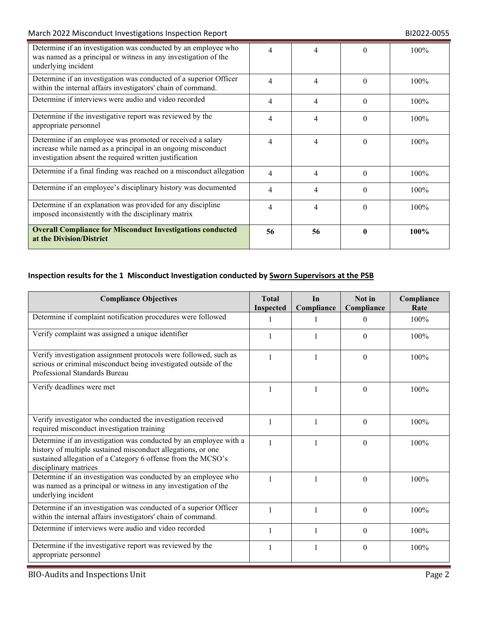## March 2022 Misconduct Investigations Inspection Report **BI2022-0055** BI2022-0055

| Determine if an investigation was conducted by an employee who<br>was named as a principal or witness in any investigation of the<br>underlying incident                              | 4  | 4                        | $\theta$ | $100\%$ |
|---------------------------------------------------------------------------------------------------------------------------------------------------------------------------------------|----|--------------------------|----------|---------|
| Determine if an investigation was conducted of a superior Officer<br>within the internal affairs investigators' chain of command.                                                     | 4  | 4                        | $\Omega$ | 100%    |
| Determine if interviews were audio and video recorded                                                                                                                                 | 4  | 4                        | $\Omega$ | 100%    |
| Determine if the investigative report was reviewed by the<br>appropriate personnel                                                                                                    | 4  | 4                        | $\Omega$ | 100%    |
| Determine if an employee was promoted or received a salary<br>increase while named as a principal in an ongoing misconduct<br>investigation absent the required written justification | 4  | $\overline{\mathcal{A}}$ | $\Omega$ | $100\%$ |
| Determine if a final finding was reached on a misconduct allegation                                                                                                                   | 4  | 4                        | $\Omega$ | 100%    |
| Determine if an employee's disciplinary history was documented                                                                                                                        | 4  | 4                        | $\Omega$ | $100\%$ |
| Determine if an explanation was provided for any discipline<br>imposed inconsistently with the disciplinary matrix                                                                    | 4  | 4                        | $\Omega$ | 100%    |
| <b>Overall Compliance for Misconduct Investigations conducted</b><br>at the Division/District                                                                                         | 56 | 56                       | 0        | 100%    |

# **Inspection results for the 1 Misconduct Investigation conducted by Sworn Supervisors at the PSB**

| <b>Compliance Objectives</b>                                                                                                                                                                                               | <b>Total</b><br><b>Inspected</b> | In<br>Compliance | Not in<br>Compliance | Compliance<br>Rate |
|----------------------------------------------------------------------------------------------------------------------------------------------------------------------------------------------------------------------------|----------------------------------|------------------|----------------------|--------------------|
| Determine if complaint notification procedures were followed                                                                                                                                                               | 1                                |                  | $\theta$             | 100%               |
| Verify complaint was assigned a unique identifier                                                                                                                                                                          | 1                                |                  | $\theta$             | 100%               |
| Verify investigation assignment protocols were followed, such as<br>serious or criminal misconduct being investigated outside of the<br>Professional Standards Bureau                                                      | 1                                | 1                | $\theta$             | 100%               |
| Verify deadlines were met                                                                                                                                                                                                  |                                  |                  | $\Omega$             | 100%               |
| Verify investigator who conducted the investigation received<br>required misconduct investigation training                                                                                                                 | 1                                | 1                | $\Omega$             | 100%               |
| Determine if an investigation was conducted by an employee with a<br>history of multiple sustained misconduct allegations, or one<br>sustained allegation of a Category 6 offense from the MCSO's<br>disciplinary matrices | $\mathbf{1}$                     |                  | $\Omega$             | 100%               |
| Determine if an investigation was conducted by an employee who<br>was named as a principal or witness in any investigation of the<br>underlying incident                                                                   | 1                                |                  | $\Omega$             | 100%               |
| Determine if an investigation was conducted of a superior Officer<br>within the internal affairs investigators' chain of command.                                                                                          | 1                                |                  | $\Omega$             | 100%               |
| Determine if interviews were audio and video recorded                                                                                                                                                                      | 1                                | 1                | $\theta$             | 100%               |
| Determine if the investigative report was reviewed by the<br>appropriate personnel                                                                                                                                         | 1                                | 1                | $\theta$             | 100%               |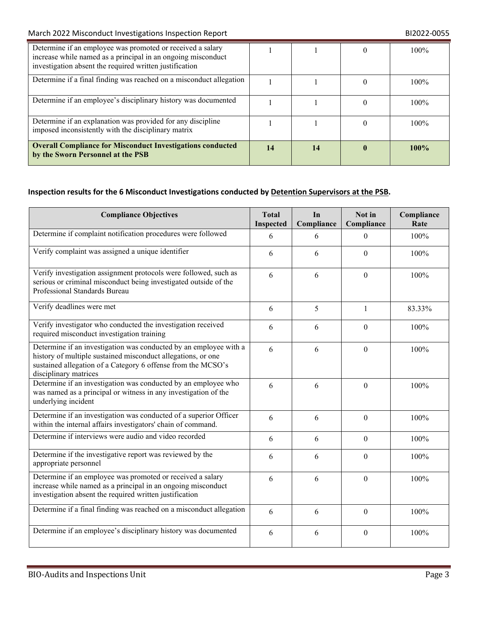| Determine if an employee was promoted or received a salary<br>increase while named as a principal in an ongoing misconduct<br>investigation absent the required written justification |    |    | 100%    |
|---------------------------------------------------------------------------------------------------------------------------------------------------------------------------------------|----|----|---------|
| Determine if a final finding was reached on a misconduct allegation                                                                                                                   |    |    | $100\%$ |
| Determine if an employee's disciplinary history was documented                                                                                                                        |    |    | 100%    |
| Determine if an explanation was provided for any discipline<br>imposed inconsistently with the disciplinary matrix                                                                    |    |    | $100\%$ |
| <b>Overall Compliance for Misconduct Investigations conducted</b><br>by the Sworn Personnel at the PSB                                                                                | 14 | 14 | 100%    |

# **Inspection results for the 6 Misconduct Investigations conducted by Detention Supervisors at the PSB.**

| <b>Compliance Objectives</b>                                                                                                                                                                                               |   | In<br>Compliance | Not in<br>Compliance | Compliance<br>Rate |
|----------------------------------------------------------------------------------------------------------------------------------------------------------------------------------------------------------------------------|---|------------------|----------------------|--------------------|
| Determine if complaint notification procedures were followed                                                                                                                                                               | 6 | 6                | $\theta$             | 100%               |
| Verify complaint was assigned a unique identifier                                                                                                                                                                          |   | 6                | $\theta$             | 100%               |
| Verify investigation assignment protocols were followed, such as<br>serious or criminal misconduct being investigated outside of the<br>Professional Standards Bureau                                                      | 6 | 6                | $\Omega$             | 100%               |
| Verify deadlines were met                                                                                                                                                                                                  | 6 | 5                | $\mathbf{1}$         | 83.33%             |
| Verify investigator who conducted the investigation received<br>required misconduct investigation training                                                                                                                 | 6 | 6                | $\Omega$             | 100%               |
| Determine if an investigation was conducted by an employee with a<br>history of multiple sustained misconduct allegations, or one<br>sustained allegation of a Category 6 offense from the MCSO's<br>disciplinary matrices | 6 | 6                | $\theta$             | 100%               |
| Determine if an investigation was conducted by an employee who<br>was named as a principal or witness in any investigation of the<br>underlying incident                                                                   | 6 | 6                | $\theta$             | 100%               |
| Determine if an investigation was conducted of a superior Officer<br>within the internal affairs investigators' chain of command.                                                                                          | 6 | 6                | $\theta$             | 100%               |
| Determine if interviews were audio and video recorded                                                                                                                                                                      | 6 | 6                | $\theta$             | 100%               |
| Determine if the investigative report was reviewed by the<br>appropriate personnel                                                                                                                                         | 6 | 6                | $\theta$             | 100%               |
| Determine if an employee was promoted or received a salary<br>increase while named as a principal in an ongoing misconduct<br>investigation absent the required written justification                                      | 6 | 6                | $\theta$             | 100%               |
| Determine if a final finding was reached on a misconduct allegation                                                                                                                                                        | 6 | 6                | $\Omega$             | 100%               |
| Determine if an employee's disciplinary history was documented                                                                                                                                                             | 6 | 6                | $\boldsymbol{0}$     | 100%               |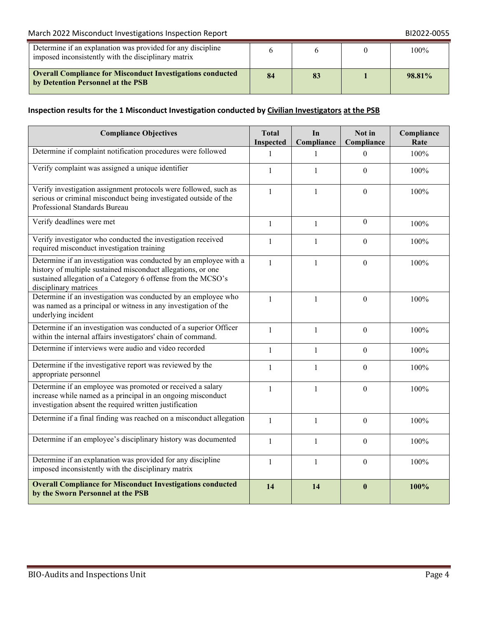## March 2022 Misconduct Investigations Inspection Report **BI2022-0055** BI2022-0055

| Determine if an explanation was provided for any discipline<br>imposed inconsistently with the disciplinary matrix |    |  | 100%   |
|--------------------------------------------------------------------------------------------------------------------|----|--|--------|
| <b>Overall Compliance for Misconduct Investigations conducted</b><br>by Detention Personnel at the PSB             | 84 |  | 98.81% |

# **Inspection results for the 1 Misconduct Investigation conducted by Civilian Investigators at the PSB**

| <b>Compliance Objectives</b>                                                                                                                                                                                               |                           | In<br>Compliance | Not in<br>Compliance | Compliance<br>Rate |
|----------------------------------------------------------------------------------------------------------------------------------------------------------------------------------------------------------------------------|---------------------------|------------------|----------------------|--------------------|
| Determine if complaint notification procedures were followed                                                                                                                                                               | Inspected<br>$\mathbf{1}$ | $\mathbf{1}$     | $\theta$             | 100%               |
| Verify complaint was assigned a unique identifier                                                                                                                                                                          | $\mathbf{1}$              | $\mathbf{1}$     | $\mathbf{0}$         | 100%               |
| Verify investigation assignment protocols were followed, such as<br>serious or criminal misconduct being investigated outside of the<br>Professional Standards Bureau                                                      | $\mathbf{1}$              | $\mathbf{1}$     | $\theta$             | 100%               |
| Verify deadlines were met                                                                                                                                                                                                  | $\mathbf{1}$              | $\mathbf{1}$     | $\theta$             | 100%               |
| Verify investigator who conducted the investigation received<br>required misconduct investigation training                                                                                                                 | 1                         | $\mathbf{1}$     | $\theta$             | 100%               |
| Determine if an investigation was conducted by an employee with a<br>history of multiple sustained misconduct allegations, or one<br>sustained allegation of a Category 6 offense from the MCSO's<br>disciplinary matrices | $\mathbf{1}$              | $\mathbf{1}$     | $\theta$             | 100%               |
| Determine if an investigation was conducted by an employee who<br>was named as a principal or witness in any investigation of the<br>underlying incident                                                                   | $\mathbf{1}$              | $\mathbf{1}$     | $\mathbf{0}$         | 100%               |
| Determine if an investigation was conducted of a superior Officer<br>within the internal affairs investigators' chain of command.                                                                                          | $\mathbf{1}$              | $\mathbf{1}$     | $\mathbf{0}$         | 100%               |
| Determine if interviews were audio and video recorded                                                                                                                                                                      | $\mathbf{1}$              | $\mathbf{1}$     | $\boldsymbol{0}$     | 100%               |
| Determine if the investigative report was reviewed by the<br>appropriate personnel                                                                                                                                         | $\mathbf{1}$              | $\mathbf{1}$     | $\theta$             | 100%               |
| Determine if an employee was promoted or received a salary<br>increase while named as a principal in an ongoing misconduct<br>investigation absent the required written justification                                      | $\mathbf{1}$              | $\mathbf{1}$     | $\mathbf{0}$         | 100%               |
| Determine if a final finding was reached on a misconduct allegation                                                                                                                                                        | $\mathbf{1}$              | $\mathbf{1}$     | $\mathbf{0}$         | 100%               |
| Determine if an employee's disciplinary history was documented                                                                                                                                                             | $\mathbf{1}$              | $\mathbf{1}$     | $\theta$             | 100%               |
| Determine if an explanation was provided for any discipline<br>imposed inconsistently with the disciplinary matrix                                                                                                         | $\mathbf{1}$              | $\mathbf{1}$     | $\theta$             | 100%               |
| <b>Overall Compliance for Misconduct Investigations conducted</b><br>by the Sworn Personnel at the PSB                                                                                                                     | 14                        | 14               | $\bf{0}$             | 100%               |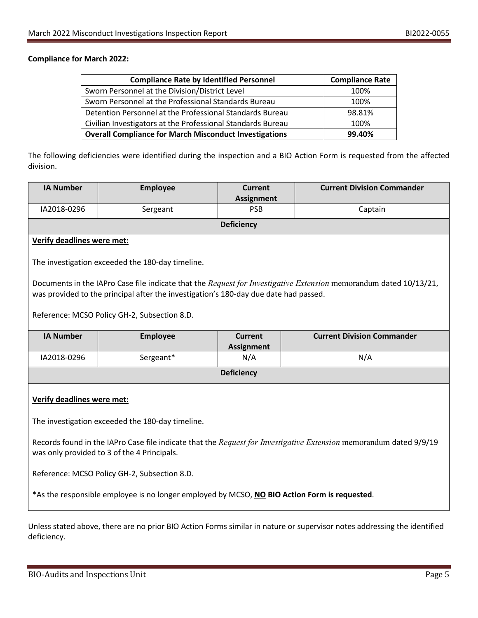#### **Compliance for March 2022:**

| <b>Compliance Rate by Identified Personnel</b>                | <b>Compliance Rate</b> |
|---------------------------------------------------------------|------------------------|
| Sworn Personnel at the Division/District Level                | 100%                   |
| Sworn Personnel at the Professional Standards Bureau          | 100%                   |
| Detention Personnel at the Professional Standards Bureau      | 98.81%                 |
| Civilian Investigators at the Professional Standards Bureau   | 100%                   |
| <b>Overall Compliance for March Misconduct Investigations</b> | 99.40%                 |

The following deficiencies were identified during the inspection and a BIO Action Form is requested from the affected division.

| <b>IA Number</b>                                                                                                                                                  | <b>Employee</b>                                                                      | Current<br><b>Assignment</b>        | <b>Current Division Commander</b>                                                                                 |  |  |
|-------------------------------------------------------------------------------------------------------------------------------------------------------------------|--------------------------------------------------------------------------------------|-------------------------------------|-------------------------------------------------------------------------------------------------------------------|--|--|
| IA2018-0296                                                                                                                                                       | Sergeant                                                                             | <b>PSB</b>                          | Captain                                                                                                           |  |  |
|                                                                                                                                                                   |                                                                                      | <b>Deficiency</b>                   |                                                                                                                   |  |  |
| <b>Verify deadlines were met:</b>                                                                                                                                 |                                                                                      |                                     |                                                                                                                   |  |  |
|                                                                                                                                                                   | The investigation exceeded the 180-day timeline.                                     |                                     |                                                                                                                   |  |  |
|                                                                                                                                                                   | was provided to the principal after the investigation's 180-day due date had passed. |                                     | Documents in the IAPro Case file indicate that the Request for Investigative Extension memorandum dated 10/13/21, |  |  |
| Reference: MCSO Policy GH-2, Subsection 8.D.                                                                                                                      |                                                                                      |                                     |                                                                                                                   |  |  |
| <b>IA Number</b>                                                                                                                                                  | <b>Employee</b>                                                                      | <b>Current</b><br><b>Assignment</b> | <b>Current Division Commander</b>                                                                                 |  |  |
| IA2018-0296                                                                                                                                                       | Sergeant*                                                                            | N/A                                 | N/A                                                                                                               |  |  |
| <b>Deficiency</b>                                                                                                                                                 |                                                                                      |                                     |                                                                                                                   |  |  |
| Verify deadlines were met:                                                                                                                                        |                                                                                      |                                     |                                                                                                                   |  |  |
| The investigation exceeded the 180-day timeline.                                                                                                                  |                                                                                      |                                     |                                                                                                                   |  |  |
| Records found in the IAPro Case file indicate that the Request for Investigative Extension memorandum dated 9/9/19<br>was only provided to 3 of the 4 Principals. |                                                                                      |                                     |                                                                                                                   |  |  |
| Reference: MCSO Policy GH-2, Subsection 8.D.                                                                                                                      |                                                                                      |                                     |                                                                                                                   |  |  |
| *As the responsible employee is no longer employed by MCSO, NO BIO Action Form is requested.                                                                      |                                                                                      |                                     |                                                                                                                   |  |  |

Unless stated above, there are no prior BIO Action Forms similar in nature or supervisor notes addressing the identified deficiency.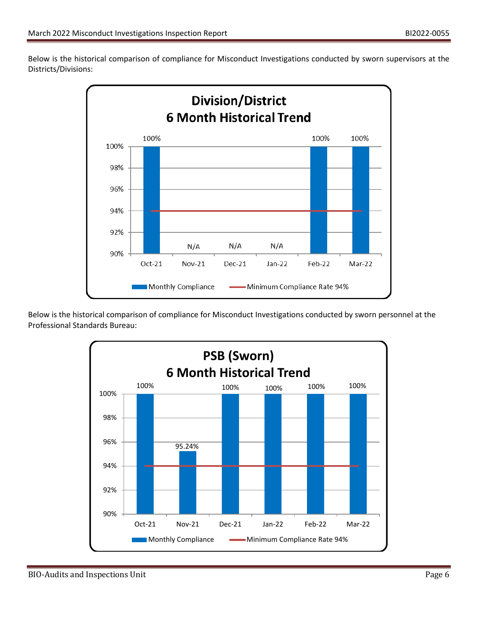Below is the historical comparison of compliance for Misconduct Investigations conducted by sworn supervisors at the Districts/Divisions:



Below is the historical comparison of compliance for Misconduct Investigations conducted by sworn personnel at the Professional Standards Bureau:

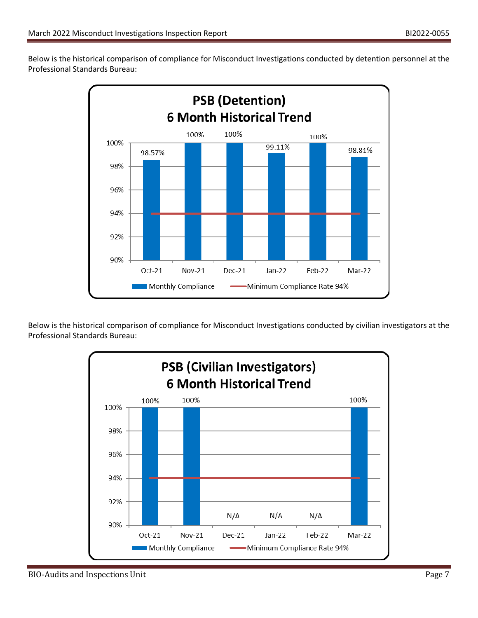Below is the historical comparison of compliance for Misconduct Investigations conducted by detention personnel at the Professional Standards Bureau:



Below is the historical comparison of compliance for Misconduct Investigations conducted by civilian investigators at the Professional Standards Bureau: